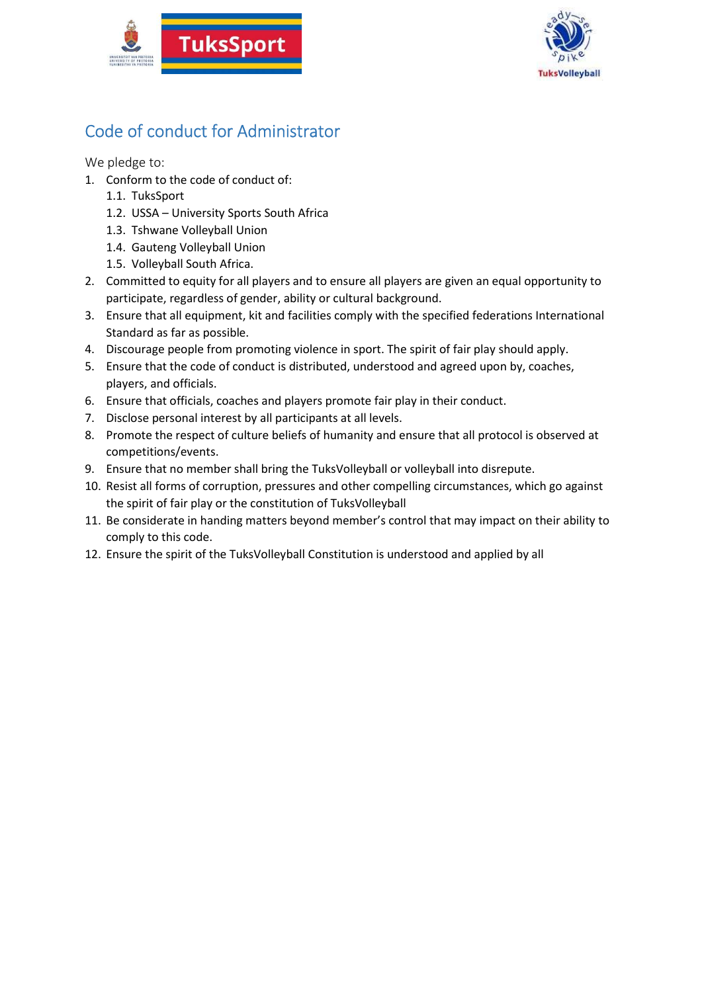



## Code of conduct for Administrator

- 1. Conform to the code of conduct of:
	- 1.1. TuksSport
	- 1.2. USSA University Sports South Africa
	- 1.3. Tshwane Volleyball Union
	- 1.4. Gauteng Volleyball Union
	- 1.5. Volleyball South Africa.
- 2. Committed to equity for all players and to ensure all players are given an equal opportunity to participate, regardless of gender, ability or cultural background.
- 3. Ensure that all equipment, kit and facilities comply with the specified federations International Standard as far as possible.
- 4. Discourage people from promoting violence in sport. The spirit of fair play should apply.
- 5. Ensure that the code of conduct is distributed, understood and agreed upon by, coaches, players, and officials.
- 6. Ensure that officials, coaches and players promote fair play in their conduct.
- 7. Disclose personal interest by all participants at all levels.
- 8. Promote the respect of culture beliefs of humanity and ensure that all protocol is observed at competitions/events.
- 9. Ensure that no member shall bring the TuksVolleyball or volleyball into disrepute.
- 10. Resist all forms of corruption, pressures and other compelling circumstances, which go against the spirit of fair play or the constitution of TuksVolleyball
- 11. Be considerate in handing matters beyond member's control that may impact on their ability to comply to this code.
- 12. Ensure the spirit of the TuksVolleyball Constitution is understood and applied by all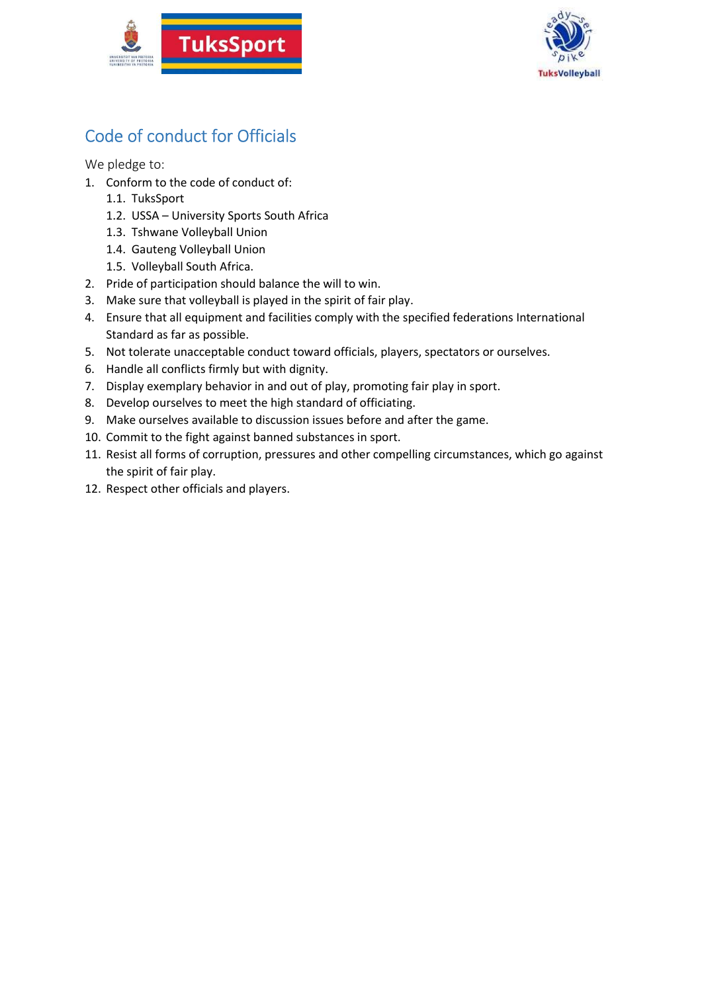



## Code of conduct for Officials

- 1. Conform to the code of conduct of:
	- 1.1. TuksSport
	- 1.2. USSA University Sports South Africa
	- 1.3. Tshwane Volleyball Union
	- 1.4. Gauteng Volleyball Union
	- 1.5. Volleyball South Africa.
- 2. Pride of participation should balance the will to win.
- 3. Make sure that volleyball is played in the spirit of fair play.
- 4. Ensure that all equipment and facilities comply with the specified federations International Standard as far as possible.
- 5. Not tolerate unacceptable conduct toward officials, players, spectators or ourselves.
- 6. Handle all conflicts firmly but with dignity.
- 7. Display exemplary behavior in and out of play, promoting fair play in sport.
- 8. Develop ourselves to meet the high standard of officiating.
- 9. Make ourselves available to discussion issues before and after the game.
- 10. Commit to the fight against banned substances in sport.
- 11. Resist all forms of corruption, pressures and other compelling circumstances, which go against the spirit of fair play.
- 12. Respect other officials and players.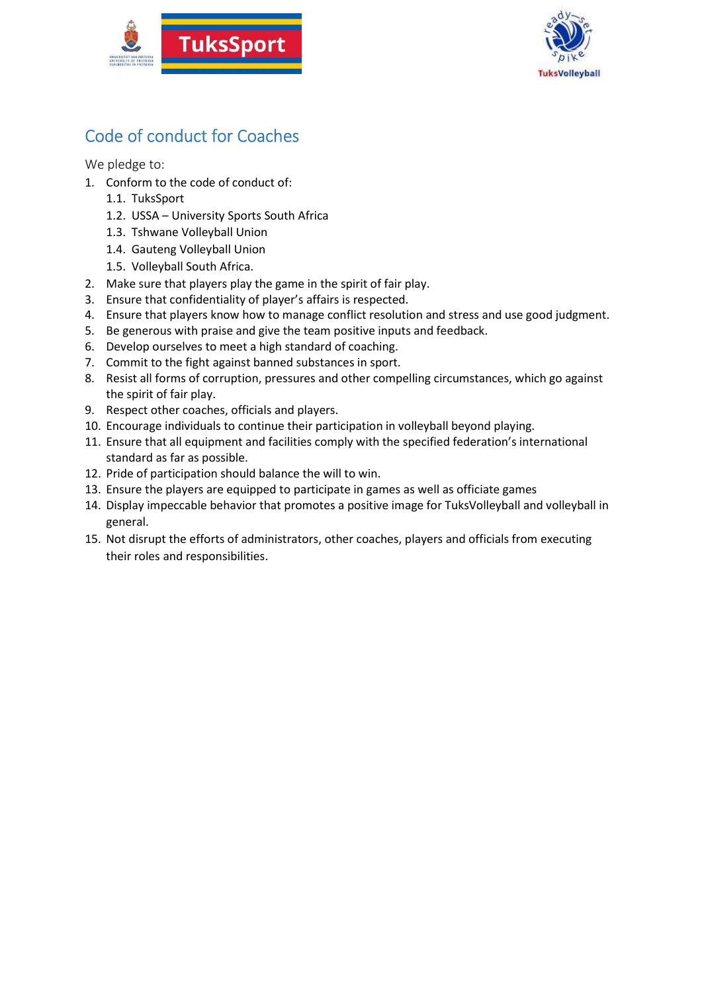



## Code of conduct for Coaches

- 1. Conform to the code of conduct of:
	- 1.1. TuksSport
	- 1.2. USSA University Sports South Africa
	- 1.3. Tshwane Volleyball Union
	- 1.4. Gauteng Volleyball Union
	- 1.5. Volleyball South Africa.
- 2. Make sure that players play the game in the spirit of fair play.
- 3. Ensure that confidentiality of player's affairs is respected.
- 4. Ensure that players know how to manage conflict resolution and stress and use good judgment.
- 5. Be generous with praise and give the team positive inputs and feedback.
- 6. Develop ourselves to meet a high standard of coaching.
- 7. Commit to the fight against banned substances in sport.
- 8. Resist all forms of corruption, pressures and other compelling circumstances, which go against the spirit of fair play.
- 9. Respect other coaches, officials and players.
- 10. Encourage individuals to continue their participation in volleyball beyond playing.
- 11. Ensure that all equipment and facilities comply with the specified federation's international standard as far as possible.
- 12. Pride of participation should balance the will to win.
- 13. Ensure the players are equipped to participate in games as well as officiate games
- 14. Display impeccable behavior that promotes a positive image for TuksVolleyball and volleyball in general.
- 15. Not disrupt the efforts of administrators, other coaches, players and officials from executing their roles and responsibilities.